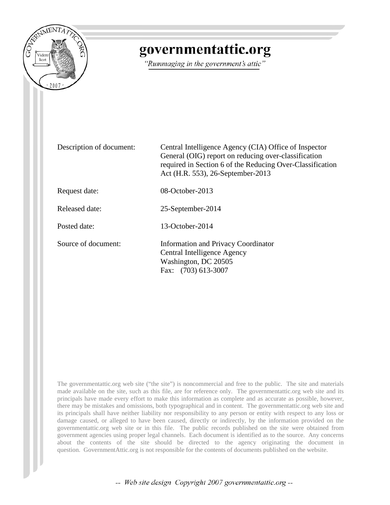

# governmentattic.org

"Rummaging in the government's attic"

| Description of document: | Central Intelligence Agency (CIA) Office of Inspector<br>General (OIG) report on reducing over-classification<br>required in Section 6 of the Reducing Over-Classification<br>Act (H.R. 553), 26-September-2013 |
|--------------------------|-----------------------------------------------------------------------------------------------------------------------------------------------------------------------------------------------------------------|
| Request date:            | $08$ -October-2013                                                                                                                                                                                              |
| Released date:           | 25-September-2014                                                                                                                                                                                               |
| Posted date:             | $13$ -October-2014                                                                                                                                                                                              |
| Source of document:      | <b>Information and Privacy Coordinator</b><br>Central Intelligence Agency<br>Washington, DC 20505<br>Fax: (703) 613-3007                                                                                        |

The governmentattic.org web site ("the site") is noncommercial and free to the public. The site and materials made available on the site, such as this file, are for reference only. The governmentattic.org web site and its principals have made every effort to make this information as complete and as accurate as possible, however, there may be mistakes and omissions, both typographical and in content. The governmentattic.org web site and its principals shall have neither liability nor responsibility to any person or entity with respect to any loss or damage caused, or alleged to have been caused, directly or indirectly, by the information provided on the governmentattic.org web site or in this file. The public records published on the site were obtained from government agencies using proper legal channels. Each document is identified as to the source. Any concerns about the contents of the site should be directed to the agency originating the document in question. GovernmentAttic.org is not responsible for the contents of documents published on the website.

-- Web site design Copyright 2007 governmentattic.org --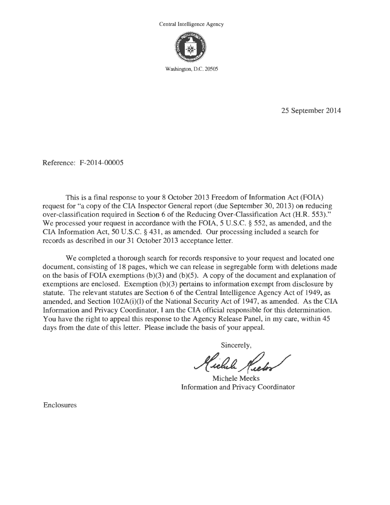Central Intelligence Agency



Washington, D.C. 20505

25 September 2014

Reference: F-2014-00005

This is a final response to your 8 October 2013 Freedom of Information Act (FOIA) request for "a copy of the CIA Inspector General report (due September 30, 2013) on reducing over-classification required in Section 6 of the Reducing Over-Classification Act (H.R. 553)." We processed your request in accordance with the FOIA, 5 U.S.C. § 552, as amended, and the CIA Information Act, 50 U.S.C. § 431, as amended. Our processing included a search for records as described in our 31 October 2013 acceptance letter.

We completed a thorough search for records responsive to your request and located one document, consisting of 18 pages, which we can release in segregable form with deletions made on the basis of FOIA exemptions  $(b)(3)$  and  $(b)(5)$ . A copy of the document and explanation of exemptions are enclosed. Exemption (b)(3) pertains to information exempt from disclosure by statute. The relevant statutes are Section 6 of the Central Intelligence Agency Act of 1949, as amended, and Section 102A(i)(l) of the National Security Act of 1947, as amended. As the CIA Information and Privacy Coordinator, I am the CIA official responsible for this determination. You have the right to appeal this response to the Agency Release Panel, in my care, within 45 days from the date of this letter. Please include the basis of your appeal.

Sincerely,

~~~ Michele Meeks

Information and Privacy Coordinator

Enclosures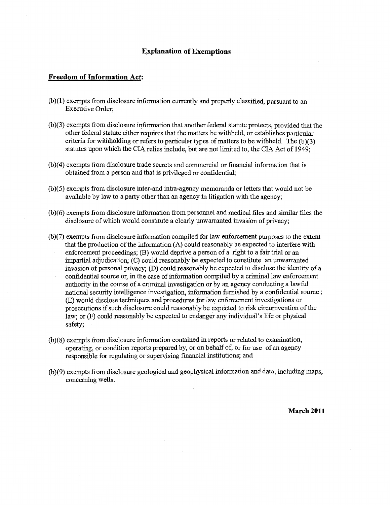#### **Explanation of Exemptions**

### **Freedom of Information Act:**

- (b )( 1) exempts from disclosure information currently and properly classified, pursuant to an Executive Order;
- (b )(3) exempts from disclosure information that another federal statute protects, provided that the other federal statute either requires that the matters be withheld, or establishes particular criteria for withholding or refers to particular types of matters to be withheld. The  $(b)(3)$ statutes upon which the CIA relies include, but are not limited to, the CIA Act of 1949;
- (b)(4) exempts from disclosure trade secrets and commercial or financial information that is obtained from a person and that is privileged or confidential;
- (b)(5) exempts from disclosure inter-and intra-agency memoranda or letters that would not be available by law to a party other than an agency in litigation with the agency;
- (b )( 6) exempts from disclosure information from personnel and medical files and similar files the disclosure of which would constitute a clearly unwarranted invasion of privacy;
- (b )(7) exempts from disclosure information compiled for law enforcement purposes to the extent that the production of the information (A) could reasonably be expected to interfere with enforcement proceedings; (B) would deprive a person of a right to a fair trial or an impartial adjudication; (C) could reasonably be expected to constitute an unwarranted invasion of personal privacy; (D) could reasonably be expected to disclose the identity of a confidential source or, in the case of information compiled by a criminal law enforcement authority in the course of a criminal investigation or by an agency conducting a lawful national security intelligence investigation, information furnished by a confidential source ; (E) would disclose techniques and procedures for law enforcement investigations or prosecutions if such disclosure could reasonably be expected to risk circumvention of the law; or (F) could reasonably be expected to endanger any individual's life or physical safety;
- (b )(8) exempts from disclosure information contained in reports or related to examination, operating, or condition reports prepared by, or on behalf of, or for use of an agency responsible for regulating or supervising financial institutions; and
- (b )(9) exempts from disclosure geological and geophysical information and data, including maps, concerning wells.

**March 2011**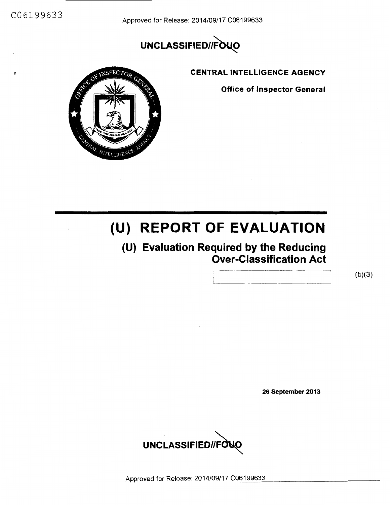C06199633 Approved for Release: 2014/09/17 C06199633

# UNCLASSIFIED//FOUO



CENTRAL INTELLIGENCE AGENCY

Office of Inspector General

# **(U) REPORT OF EVALUATION**

## (U) Evaluation Required by the Reducing Over-Classification Act

 $(b)(3)$ 

26 September 2013



Approved for Release: 2014/09/17 C06199633.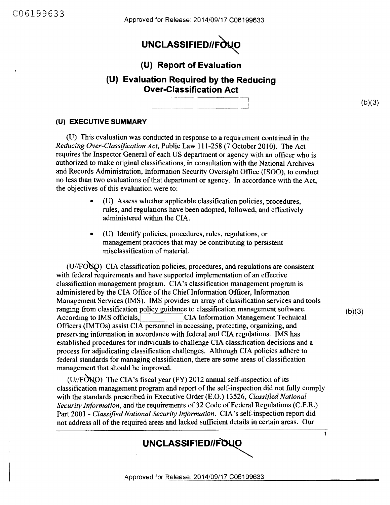Approved for Release: 2014/09/17 C06199633

# UNCLASSIFIED//FOUO

### **(U) Report of Evaluation**

### **(U) Evaluation Required by the Reducing Over-Classification Act**

 $(b)(3)$ 

### **(U) EXECUTIVE SUMMARY**

(U) This evaluation was conducted in response to a requirement contained in the *Reducing Over-Classification Act,* Public Law 111-258 (7 October 2010). The Act requires the Inspector General of each US department or agency with an officer who is authorized to make original classifications, in consultation with the National Archives and Records Administration, Information Security Oversight Office (ISOO), to conduct no less than two evaluations of that department or agency. In accordance with the Act, the objectives of this evaluation were to:

- (U) Assess whether applicable classification policies, procedures, rules, and regulations have been adopted, followed, and effectively administered within the CIA.
- (U) Identify policies, procedures, rules, regulations, or management practices that may be contributing to persistent misclassification of material.

 $(U/FO$ <sup> $U$ </sup> $(O)$  CIA classification policies, procedures, and regulations are consistent with federal requirements and have supported implementation of an effective classification management program. CIA's classification management program is administered by the CIA Office of the Chief Information Officer, Information Management Services (IMS). IMS provides an array of classification services and tools ranging from classification policy guidance to classification management software. According to IMS officials, CIA Information Management Technical Officers (IMTOs) assist CIA personnel in accessing, protecting, organizing, and preserving information in accordance with federal and CIA regulations. IMS has established procedures for individuals to challenge CIA classification decisions and a process for adjudicating classification challenges. Although CIA policies adhere to federal standards for managing classification, there are some areas of classification management that should be improved.

 $(b)(3)$ 

1

(U//FONO) The CIA's fiscal year (FY) 2012 annual self-inspection of its classification management program and report of the self-inspection did not fully comply with the standards prescribed in Executive Order (E.O.) 13526, *Classified National Security Information,* and the requirements of 32 Code of Federal Regulations (C.F.R.) Part 2001 - *Classified National Security Information.* CIA's self-inspection report did not address all of the required areas and lacked sufficient details in certain areas. Our

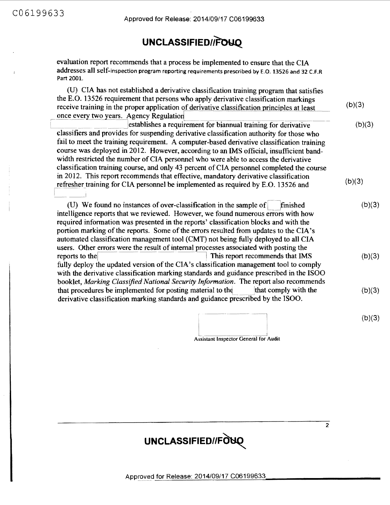## **UNCLASSIFIED/iFoYQ\_**

evaluation report recommends that a process be implemented to ensure that the CIA addresses all self-inspection program reporting requirements prescribed by E.O. 13526 and 32 C.F.R Part 2001.

(U) CIA has not established a derivative classification training program that satisfies the E.O. 13526 requirement that persons who apply derivative classification markings receive training in the proper application of derivative classification principles at least receive training in the proper application of derivative classification principles at least<br>once every two years. Agency Regulation once every two years. Agency Regulation<br>establishes a requirement for biannual training for derivative  $(b)(3)$ 

classifiers and provides for suspending derivative classification authority for those who fail to meet the training requirement. A computer-based derivative classification training course was deployed in 2012. However, according to an IMS official, insufficient bandwidth restricted the number of CIA personnel who were able to access the derivative classification training course, and only 43 percent of CIA personnel completed the course in 2012. This report recommends that effective, mandatory derivative classification refresher training for CIA personnel be implemented as required by E.O. 13526 and - \_\_ .I  $(b)(3)$  $(b)(3)$ 

(U) We found no instances of over-classification in the sample of  $\vert$  finished intelligence reports that we reviewed. However, we found numerous errors with how required information was presented in the reports' classification blocks and with the portion marking of the reports. Some of the errors resulted from updates to the CIA's automated classification management tool (CMT) not being fully deployed to all CIA users. Other errors were the result of internal processes associated with posting the reports to the **internal of the set of the set of the set of the set of the set of the set of the set of the set of the set of the set o** fully deploy the updated version of the CIA's classification management tool to comply with the derivative classification marking standards and guidance prescribed in the ISOO booklet, *Marking Classified National Security Information.* The report also recommends that procedures be implemented for posting material to the  $\qquad$  that comply with the derivative classification marking standards and guidance prescnbed by the ISOO.  $(b)(3)$  $(b)(3)$  $(b)(3)$ 

> I  $\frac{1}{1}$  Assistant Inspector General for Audit (b)(3)



 $\overline{2}$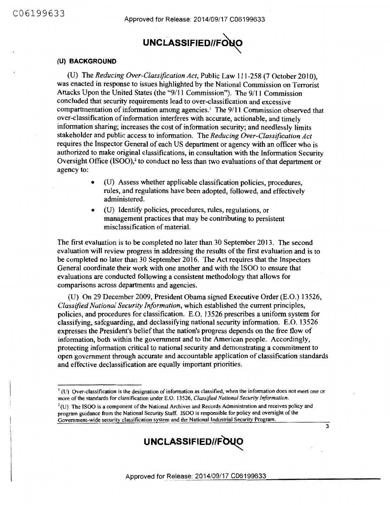

#### (U) **BACKGROUND**

(U) The *Reducing Over-Classification Act,* Public Law 111-258 (7 October 2010), was enacted in response to issues highlighted by the National Commission on Terrorist Attacks Upon the United States (the "9/11 Commission"). The 9/11 Commission concluded that security requirements lead to over-classification and excessive compartmentation of information among agencies.<sup>1</sup> The 9/11 Commission observed that over-classification of information interferes with accurate, actionable, and timely information sharing; increases the cost of information security; and needlessly limits stakeholder and public access to information. The *Reducing Over-Classification Act*  requires the Inspector General of each US department or agency with an officer who is authorized to make original classifications, in consultation with the Information Security Oversight Office  $(ISOO)<sup>2</sup>$  to conduct no less than two evaluations of that department or agency to:

- (U) Assess whether applicable classification policies, procedures, rules, and regulations have been adopted, followed, and effectively administered.
- (U) Identify policies, procedures, rules, regulations, or management practices that may be contributing to persistent misclassification of material.

The first evaluation is to be completed no later than 30 September 2013. The second evaluation will review progress in addressing the results of the first evaluation and is to be completed no later than 30 September 2016. The Act requires that the Inspectors General coordinate their work with one another and with the ISOO to ensure that evaluations are conducted following a consistent methodology that allows for comparisons across departments and agencies.

(U) On 29 December 2009, President Obama signed Executive Order (E.O.) 13526, *Classified National Security Information,* which established the current principles, policies, and procedures for classification. E.O. 13526 prescribes a uniform system for classifying, safeguarding, and declassifying national security information. E.O. 13526 expresses the President's belief that the nation's progress depends on the free flow of information, both within the government and to the American people. Accordingly, protecting information critical to national security and demonstrating a commitment to open government through accurate and accountable application of classification standards and effective declassification are equally important priorities.

 $<sup>2</sup>(U)$  The ISOO is a component of the National Archives and Records Administration and receives policy and</sup> program guidance from the National Security Staff. ISOO is responsible for policy and oversight of the Government-wide security classification system and the National Industrial Security Program.



3

 $<sup>1</sup>$  (U) Over-classification is the designation of information as classified, when the information does not meet one or</sup> more of the standards for classification under E.O. 13526, *Classified National Security Information.*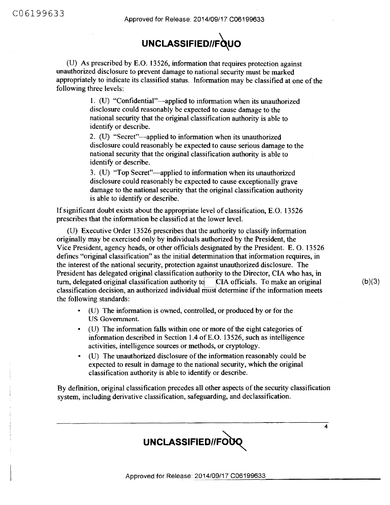(U) As prescribed by E.0. 13526, information that requires protection against unauthorized disclosure to prevent damage to national security must be marked appropriately to indicate its classified status. Information may be classified at one of the following three levels:

> 1. (U) "Confidential"-applied to information when its unauthorized disclosure could reasonably be expected to cause damage to the national security that the original classification authority is able to identify or describe.

2. (U) "Secret"-applied to information when its unauthorized disclosure could reasonably be expected to cause serious damage to the national security that the original classification authority is able to identify or describe.

3. (U) "Top Secret"—applied to information when its unauthorized disclosure could reasonably be expected to cause exceptionally grave damage to the national security that the original classification authority is able to identify or describe.

If significant doubt exists about the appropriate level of classification, E.O. 13526 prescribes that the information be classified at the lower level.

(U) Executive Order 13526 prescribes that the authority to classify information originally may be exercised only by individuals authorized by the President, the Vice President, agency heads, or other officials designated by the President. E. 0. 13526 defines "original classification" as the initial determination that information requires, in the interest of the national security, protection against unauthorized disclosure. The President has delegated original classification authority to the Director, CIA who has, in turn, delegated original classification authority to  $\Box$  CIA officials. To make an original classification decision, an authorized individual must determine if the information meets the following standards:

- (U) The information is owned, controlled, or produced by or for the US Government.
- (U) The information falls within one or more of the eight categories of information described in Section 1.4 ofE.0. 13526, such as intelligence activities, intelligence sources or methods, or cryptology.
- (U) The unauthorized disclosure of the information reasonably could be expected to result in damage to the national security, which the original classification authority is able to identify or describe.

By definition, original classification precedes all other aspects of the security classification system, including derivative classification, safeguarding, and declassification.



 $(b)(3)$ 

 $\overline{\mathbf{4}}$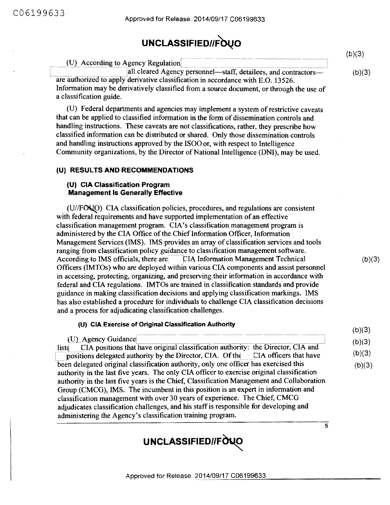|                                                                                                                                                                                                                                                                            | (b)(3) |
|----------------------------------------------------------------------------------------------------------------------------------------------------------------------------------------------------------------------------------------------------------------------------|--------|
| (U) According to Agency Regulation                                                                                                                                                                                                                                         |        |
| all cleared Agency personnel—staff, detailees, and contractors—<br>are authorized to apply derivative classification in accordance with E.O. 13526.<br>Information may be derivatively classified from a source document, or through the use of<br>a classification guide. | (b)(3) |

(U) Federal departments and agencies may implement a system of restrictive caveats that can be applied to classified information in the form of dissemination controls and handling instructions. These caveats are not classifications, rather, they prescribe how classified information can be distributed or shared. Only those dissemination controls and handling instructions approved by the ISOO or, with respect to Intelligence Community organizations, by the Director of National Intelligence (DNI), may be used.

### **(U) RESULTS AND RECOMMENDATIONS**

#### **(U) CIA Classification Program Management Is Generally Effective**

 $(U/FONO)$  CIA classification policies, procedures, and regulations are consistent with federal requirements and have supported implementation of an effective classification management program. CIA's classification management program is administered by the CIA Office of the Chief Information Officer, Information Management Services (IMS). IMS provides an array of classification services and tools ranging from classification policy guidance to classification management software. According to IMS officials, there are CIA Information Management Technical Officers (IMTOs) who are deployed within various CIA components and assist personnel in accessing, protecting, organizing, and preserving their information in accordance with federal and CIA regulations. IMTOs are trained in classification standards and provide guidance in making classification decisions and applying classification markings. IMS has also established a procedure for individuals to challenge CIA classification decisions and a process for adjudicating classification challenges.

 $(b)(3)$ 

 $(b)(3)$  $(b)(3)$  $(b)(3)$  $(b)(3)$ 

 $\overline{5}$ 

#### **(U) CIA Exercise of Original Classification Authority**

(U) Agency Guidance lists CIA positions that have original classification authority: the Director, CIA and positions delegated authority by the Director, CIA. Of the  $\Box$  CIA officers that have been delegated original classification authority, only one officer has exercised this authority in the last five years. The only CIA officer to exercise original classification authority in the last five years is the Chief, Classification Management and Collaboration Group (CMCG), IMS. The incumbent in this position is an expert in information and classification management with over 30 years of experience. The Chief, CMCG adjudicates classification challenges, and his staff is responsible for developing and administering the Agency's classification training program.

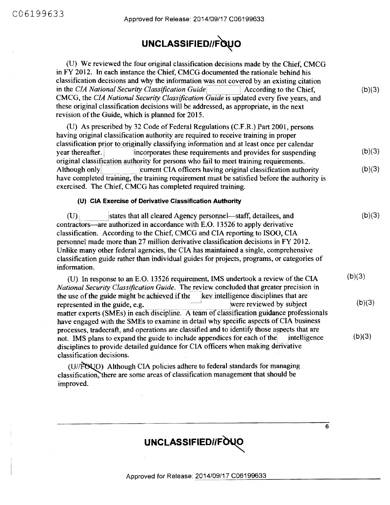| (U) We reviewed the four original classification decisions made by the Chief, CMCG<br>in FY 2012. In each instance the Chief, CMCG documented the rationale behind his<br>classification decisions and why the information was not covered by an existing citation<br>in the CIA National Security Classification Guide<br>According to the Chief.<br>CMCG, the CIA National Security Classification Guide is updated every five years, and<br>these original classification decisions will be addressed, as appropriate, in the next<br>revision of the Guide, which is planned for 2015. | (b)(3) |
|--------------------------------------------------------------------------------------------------------------------------------------------------------------------------------------------------------------------------------------------------------------------------------------------------------------------------------------------------------------------------------------------------------------------------------------------------------------------------------------------------------------------------------------------------------------------------------------------|--------|
| (U) As prescribed by 32 Code of Federal Regulations (C.F.R.) Part 2001, persons<br>having original classification authority are required to receive training in proper<br>classification prior to originally classifying information and at least once per calendar<br>year thereafter.<br>incorporates these requirements and provides for suspending<br>original classification authority for persons who fail to meet training requirements.                                                                                                                                            | (b)(3) |
| current CIA officers having original classification authority<br>Although only<br>have completed training, the training requirement must be satisfied before the authority is<br>exercised. The Chief, CMCG has completed required training.                                                                                                                                                                                                                                                                                                                                               | (b)(3) |
| (U) CIA Exercise of Derivative Classification Authority                                                                                                                                                                                                                                                                                                                                                                                                                                                                                                                                    |        |
| (U)<br>states that all cleared Agency personnel—staff, detailees, and<br>contractors—are authorized in accordance with E.O. 13526 to apply derivative<br>classification. According to the Chief, CMCG and CIA reporting to ISOO, CIA<br>personnel made more than 27 million derivative classification decisions in FY 2012.<br>Unlike many other federal agencies, the CIA has maintained a single, comprehensive<br>classification guide rather than individual guides for projects, programs, or categories of<br>information.                                                           | (b)(3) |
| (U) In response to an E.O. 13526 requirement, IMS undertook a review of the CIA<br>National Security Classification Guide. The review concluded that greater precision in                                                                                                                                                                                                                                                                                                                                                                                                                  | (b)(3) |
| the use of the guide might be achieved if the key intelligence disciplines that are<br>were reviewed by subject<br>represented in the guide, e.g.<br>matter experts (SMEs) in each discipline. A team of classification guidance professionals<br>have engaged with the SMEs to examine in detail why specific aspects of CIA business                                                                                                                                                                                                                                                     | (b)(3) |
| processes, tradecraft, and operations are classified and to identify those aspects that are<br>not. IMS plans to expand the guide to include appendices for each of the<br>intelligence<br>disciplines to provide detailed guidance for CIA officers when making derivative<br>classification decisions.                                                                                                                                                                                                                                                                                   | (b)(3) |
| (U//FOUO) Although CIA policies adhere to federal standards for managing<br>classification, there are some areas of classification management that should be<br>improved.                                                                                                                                                                                                                                                                                                                                                                                                                  |        |
|                                                                                                                                                                                                                                                                                                                                                                                                                                                                                                                                                                                            |        |

# UNCLASSIFIED//FOUO

 $\overline{6}$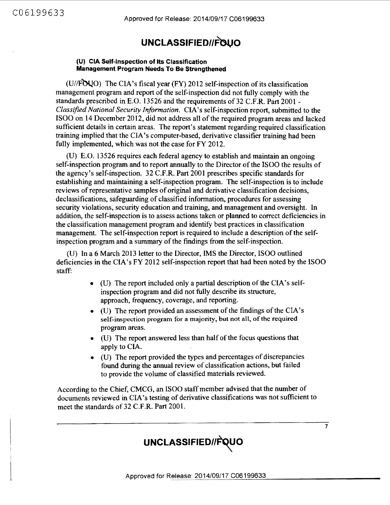## **UNCLASSIFIEDllf\3uO**

#### **(U) CIA Self-Inspection of Its Classification Management Program Needs To Be Strengthened**

(U//FOUO) The CIA's fiscal year (FY) 2012 self-inspection of its classification management program and report of the self-inspection did not fully comply with the standards prescribed in E.O. 13526 and the requirements of 32 C.F.R. Part 2001 -*Classified National Security Information.* CIA 's self-inspection report, submitted to the ISOO on 14 December 2012, did not address all of the required program areas and lacked sufficient details in certain areas. The report's statement regarding required classification training implied that the CIA 's computer-based, derivative classifier training had been fully implemented, which was not the case for FY 2012.

(U) E.O. 13526 requires each federal agency to establish and maintain an ongoing self-inspection program and to report annually to the Director of the ISOO the results of the agency's self-inspection. 32 C.F.R. Part 2001 prescribes specific standards for establishing and maintaining a self-inspection program. The self-inspection is to include reviews of representative samples of original and derivative classification decisions, declassifications, safeguarding of classified information, procedures for assessing security violations, security education and training, and management and oversight. In addition, the self-inspection is to assess actions taken or planned to correct deficiencies in the classification management program and identify best practices in classification management. The self-inspection report is required to include a description of the selfinspection program and a summary of the findings from the self-inspection.

(U) In a 6 March 2013 letter to the Director, IMS the Director, ISOO outlined deficiencies in the CIA's FY 2012 self-inspection report that had been noted by the ISOO staff:

- (U) The report included only a partial description of the CIA's selfinspection program and did not fully describe its structure, approach, frequency, coverage, and reporting.
- (U) The report provided an assessment of the findings of the CIA's self-inspection program for a majority, but not all, of the required program areas.
- (U) The report answered less than half of the focus questions that apply to CIA.
- (U) The report provided the types and percentages of discrepancies found during the annual review of classification actions, but failed to provide the volume of classified materials reviewed.

According to the Chief, CMCG, an ISOO staff member advised that the number of documents reviewed in CIA's testing of derivative classifications was not sufficient to meet the standards of 32 C.F.R. Part 2001.



 $\overline{7}$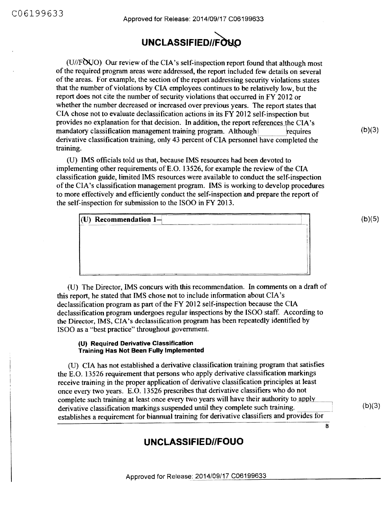(U//FOUO) Our review of the CIA's self-inspection report found that although most of the required program areas were addressed, the report included few details on several of the areas. For example, the section of the report addressing security violations states that the number of violations by CIA employees continues to be relatively low, but the report does not cite the number of security violations that occurred in FY 2012 or whether the number decreased or increased over previous years. The report states that CIA chose not to evaluate declassification actions in its FY 2012 self-inspection but provides no explanation for that decision. In addition, the report references the CIA's mandatory classification management training program. Although requires derivative classification training, only 43 percent of CIA personnel have completed the training.

(U) IMS officials told us that, because IMS resources had been devoted to implementing other requirements ofE.O. 13526, for example the review of the CIA classification guide, limited IMS resources were available to conduct the self-inspection of the CIA's classification management program. IMS is working to develop procedures to more effectively and efficiently conduct the self-inspection and prepare the report of the self-inspection for submission to the ISOO in FY 2013.

| $ U\rangle$ Recommendation 1-                                       |                                                                                                                                                                                                                               |
|---------------------------------------------------------------------|-------------------------------------------------------------------------------------------------------------------------------------------------------------------------------------------------------------------------------|
| A R. F. Contactor and Contact State Property and Contact State Con- | consecuted for the first of the Consecutive and constitutions are the consecutive of the first of the Consecutive Consecutive Consecutive Consecutive Consecutive Consecutive Consecutive Consecutive Consecutive Consecutive |
|                                                                     |                                                                                                                                                                                                                               |
|                                                                     |                                                                                                                                                                                                                               |
|                                                                     |                                                                                                                                                                                                                               |
|                                                                     |                                                                                                                                                                                                                               |
|                                                                     |                                                                                                                                                                                                                               |
|                                                                     |                                                                                                                                                                                                                               |
|                                                                     |                                                                                                                                                                                                                               |

(U) The Director, IMS concurs with this recommendation. In comments on a draft of this report, he stated that IMS chose not to include information about CIA's declassification program as part of the FY 2012 self-inspection because the CIA declassification program undergoes regular inspections by the ISOO staff. According to the Director, IMS, CIA's declassification program has been repeatedly identified by ISOO as a "best practice" throughout government.

#### **(U) Required Derivative Classification Training Has Not Been Fully Implemented**

(U) CIA has not established a derivative classification training program that satisfies the E.O. 13526 requirement that persons who apply derivative classification markings receive training in the proper application of derivative classification principles at least once every two years. E.O. 13526 prescribes that derivative classifiers who do not complete such training at least once every two years will have their authority to apply derivative classification markings suspended until they complete such training. establishes a requirement for biannual training for derivative classifiers and provides for

### **UNCLASSIFIED//FOUO**

 $(b)(5)$ 

 $(b)(3)$ 

 $(b)(3)$ 

8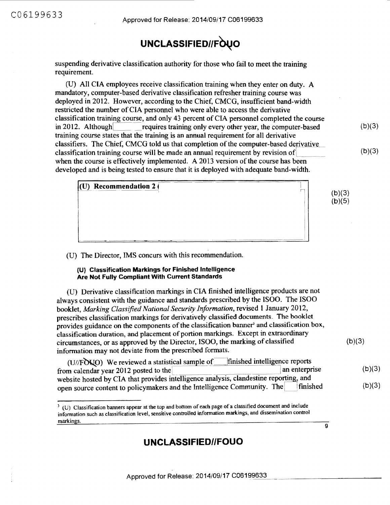suspending derivative classification authority for those who fail to meet the training requirement.

(U) All CIA employees receive classification training when they enter on duty. A mandatory, computer-based derivative classification refresher training course was deployed in 2012. However, according to the Chief, CMCG, insufficient band-width restricted the number of CIA personnel who were able to access the derivative classification training course, and only 43 percent of CIA personnel completed the course in 2012. Although  $\sim$  - requires training only every other year, the computer-based training course states that the training is an annual requirement for all derivative classifiers. The Chief, CMCG told us that completion of the computer-based derivative classification training course will be made an annual requirement by revision of <sup>1</sup> when the course is effectively implemented. A 2013 version of the course has been developed and is being tested to ensure that it is deployed with adequate band-width.

 $(b)(3)$ 

 $(b)(3)$ 

 $\mathbf{9}$ 

| Wilsonstand<br>(U) Recommendation 2 $\overline{ }$ | (b)(3)<br>(b)(5) |
|----------------------------------------------------|------------------|
|                                                    |                  |

(U) The Director, IMS concurs with this recommendation.

#### **(U) Classification Markings for Finished Intelligence Are Not Fully Compliant With Current Standards**

(U) Derivative classification markings in CIA finished intelligence products are not always consistent with the guidance and standards prescribed by the ISOO. The ISOO booklet, *Marking Classified National Security Information,* revised 1 January 2012, prescribes classification markings for derivatively classified documents. The booklet provides guidance on the components of the classification banner<sup>3</sup> and classification box, classification duration, and placement of portion markings. Except in extraordinary circumstances, or as approved by the Director, ISOO, the marking of classified information may not deviate from the prescribed formats. (b)(3)

| finished intelligence reports<br>(U//FOUO) We reviewed a statistical sample of        |               |        |
|---------------------------------------------------------------------------------------|---------------|--------|
| from calendar year 2012 posted to the                                                 | an enterprise | (b)(3) |
| website hosted by CIA that provides intelligence analysis, clandestine reporting, and |               |        |
| open source content to policymakers and the Intelligence Community. The               | finished      | (b)(3) |

<sup>&</sup>lt;sup>3</sup> (U) Classification banners appear at the top and bottom of each page of a classified document and include infonnation such as classification level, sensitive controlled information markings, and dissemination control markings.

### **UNCLASSIFIED//FOUO**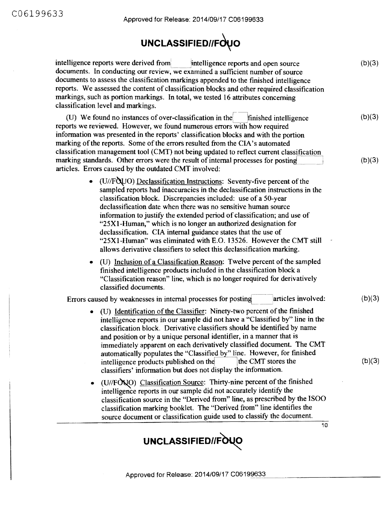# **UNCLASSIFIED//Fdvo**

| intelligence reports were derived from<br>intelligence reports and open source<br>documents. In conducting our review, we examined a sufficient number of source<br>documents to assess the classification markings appended to the finished intelligence<br>reports. We assessed the content of classification blocks and other required classification<br>markings, such as portion markings. In total, we tested 16 attributes concerning<br>classification level and markings.                                                                                                                                                                         | (b)(3)           |
|------------------------------------------------------------------------------------------------------------------------------------------------------------------------------------------------------------------------------------------------------------------------------------------------------------------------------------------------------------------------------------------------------------------------------------------------------------------------------------------------------------------------------------------------------------------------------------------------------------------------------------------------------------|------------------|
| (U) We found no instances of over-classification in the<br>finished intelligence<br>reports we reviewed. However, we found numerous errors with how required<br>information was presented in the reports' classification blocks and with the portion<br>marking of the reports. Some of the errors resulted from the CIA's automated<br>classification management tool (CMT) not being updated to reflect current classification<br>marking standards. Other errors were the result of internal processes for posting<br>articles. Errors caused by the outdated CMT involved:                                                                             | (b)(3)<br>(b)(3) |
| • (U//FQUO) Declassification Instructions: Seventy-five percent of the<br>sampled reports had inaccuracies in the declassification instructions in the<br>classification block. Discrepancies included: use of a 50-year<br>declassification date when there was no sensitive human source<br>information to justify the extended period of classification; and use of<br>"25X1-Human," which is no longer an authorized designation for<br>declassification. CIA internal guidance states that the use of<br>"25X1-Human" was eliminated with E.O. 13526. However the CMT still<br>allows derivative classifiers to select this declassification marking. |                  |
| (U) Inclusion of a Classification Reason: Twelve percent of the sampled<br>finished intelligence products included in the classification block a<br>"Classification reason" line, which is no longer required for derivatively<br>classified documents.                                                                                                                                                                                                                                                                                                                                                                                                    |                  |
| articles involved:<br>Errors caused by weaknesses in internal processes for posting                                                                                                                                                                                                                                                                                                                                                                                                                                                                                                                                                                        | (b)(3)           |
| (U) Identification of the Classifier: Ninety-two percent of the finished<br>٠<br>intelligence reports in our sample did not have a "Classified by" line in the<br>classification block. Derivative classifiers should be identified by name<br>and position or by a unique personal identifier, in a manner that is<br>immediately apparent on each derivatively classified document. The CMT<br>automatically populates the "Classified by" line. However, for finished<br>the CMT stores the<br>intelligence products published on the<br>classifiers' information but does not display the information.                                                 | (b)(3)           |
| (U//FONO) Classification Source: Thirty-nine percent of the finished<br>٠<br>intelligence reports in our sample did not accurately identify the<br>classification source in the "Derived from" line, as prescribed by the ISOO<br>classification marking booklet. The "Derived from" line identifies the<br>source document or classification guide used to classify the document.<br>10                                                                                                                                                                                                                                                                   |                  |
|                                                                                                                                                                                                                                                                                                                                                                                                                                                                                                                                                                                                                                                            |                  |
| UNCLASSIFIED//FOUO                                                                                                                                                                                                                                                                                                                                                                                                                                                                                                                                                                                                                                         |                  |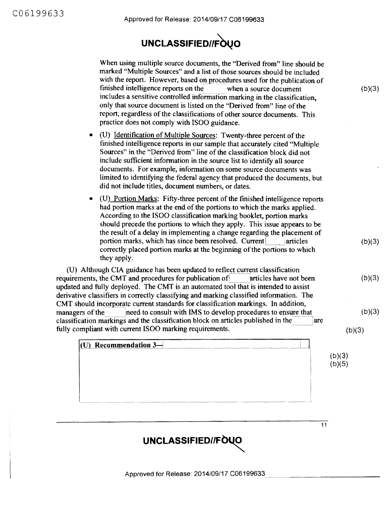

When using multiple source documents, the "Derived from" line should be marked "Multiple Sources" and a list of those sources should be included with the report. However, based on procedures used for the publication of finished intelligence reports on the when a source document includes a sensitive controlled information marking in the classification, only that source document is listed on the "Derived from" line of the report, regardless of the classifications of other source documents. This practice does not comply with ISOO guidance.

- (U) Identification of Multiple Sources: Twenty-three percent of the finished intelligence reports in our sample that accurately cited "Multiple Sources" in the "Derived from" line of the classification block did not include sufficient information in the source list to identify all source documents. For example, information on some source documents was limited to identifying the federal agency that produced the documents, but did not include titles, document numbers, or dates.
- (U) Portion Marks: Fifty-three percent of the finished intelligence reports had portion marks at the end of the portions to which the marks applied. According to the ISOO classification marking booklet, portion marks should precede the portions to which they apply. This issue appears to be the result of a delay in implementing a change regarding the placement of portion marks, which has since been resolved. Current articles correctly placed portion marks at the beginning of the portions to which they apply.

(U) Although CIA guidance has been updated to reflect current classification requirements, the CMT and procedures for publication of Let articles have not been updated and fully deployed. The CMT is an automated tool that is intended to assist derivative classifiers in correctly classifying and marking classified information. The CMT should incorporate current standards for classification markings. In addition, managers of the 1need to consult with IMS to develop procedures to ensure that classification markings and the classification block on articles published in the are fully compliant with current ISOO marking requirements.

 $(U)$  Recommendation  $3-$ 

 $(b)(3)$ 

 $(b)(3)$ 

 $(b)(3)$ 

 $(b)(3)$ 

 $(b)(3)$ 

 $(b)(3)$  $(b)(5)$ 

 $11$ 

UNCLASSIFIED//FOUO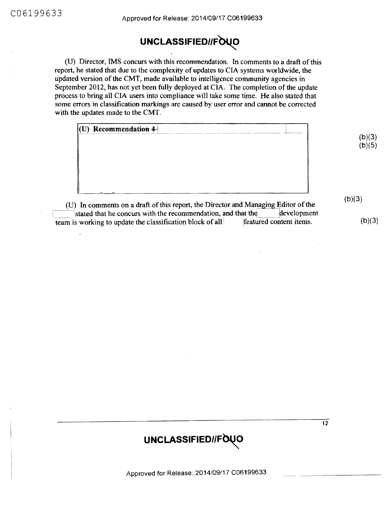(U) Director, IMS concurs with this recommendation. In comments to a draft of this report, he stated that due to the complexity of updates to CIA systems worldwide, the updated version of the CMT, made available to intelligence community agencies in September 2012, has not yet been fully deployed at CIA. The completion of the update process to bring all CIA users into compliance will take some time. He also stated that some errors in classification markings are caused by user error and cannot be corrected with the updates made to the CMT.

| $(U)$ Recommendation 4<br><b>Company for the Company of Company's Company's Company's Company's Company's Company's Company's Company's Company's Company's Company's Company's Company's Company's Company's Company's Company's Company's Company's Comp</b><br>the property of the property of the fundamental with \$1,000. | Announcement Constitution                     |
|---------------------------------------------------------------------------------------------------------------------------------------------------------------------------------------------------------------------------------------------------------------------------------------------------------------------------------|-----------------------------------------------|
|                                                                                                                                                                                                                                                                                                                                 | $(b)(3)$<br>$(b)(5)$                          |
|                                                                                                                                                                                                                                                                                                                                 |                                               |
|                                                                                                                                                                                                                                                                                                                                 |                                               |
|                                                                                                                                                                                                                                                                                                                                 |                                               |
|                                                                                                                                                                                                                                                                                                                                 |                                               |
|                                                                                                                                                                                                                                                                                                                                 |                                               |
| .<br>.<br>. .                                                                                                                                                                                                                                                                                                                   | (b)(3<br>.<br>$\sim$ $\sim$<br>.<br>$\bullet$ |

 $(U)$  In comments on a draft of this report, the Director and Managing Editor of the stated that he concurs with the recommendation, and that the development is working to update the classification block of all  $\vert$  featured content items. team is working to update the classification block of all

 $(b)(3)$ 

 $\overline{12}$ 

## UNCLASSIFIED//FOUO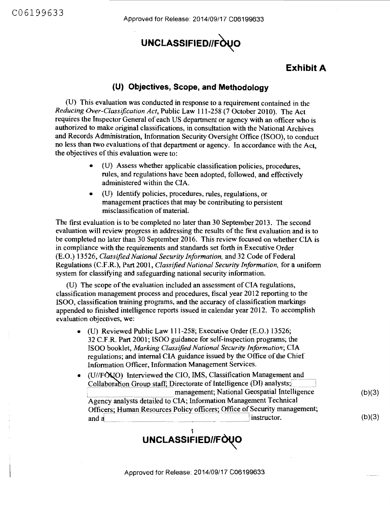C06199633

Approved for Release: 2014/09/17 C06199633

# UNCLASSIFIED//FOUO

### **Exhibit A**

(b)(3)

(b)(3)

### **(U) Objectives, Scope, and Methodology**

(U) This evaluation was conducted in response to a requirement contained in the *Reducing Over-Classification Act,* Public Law 111-258 (7 October 2010). The Act requires the Inspector General of each US department or agency with an officer who is authorized to make original classifications, in consultation with the National Archives and Records Administration, Information Security Oversight Office (ISOO), to conduct no less than two evaluations of that department or agency. In accordance with the Act, the objectives of this evaluation were to:

- (U) Assess whether applicable classification policies, procedures, rules, and regulations have been adopted, followed, and effectively administered within the CIA.
- (U) Identify policies, procedures, rules, regulations, or management practices that may be contributing to persistent misclassification of material.

The first evaluation is to be completed no later than 30 September 2013. The second evaluation will review progress in addressing the results of the first evaluation and is to be completed no later than 30 September 2016. This review focused on whether CIA is in compliance with the requirements and standards set forth in Executive Order (E.O.) 13526, *Classified National Security Information,* and 32 Code of Federal Regulations (C.F.R.), Part 2001, *Classified National Security Information,* for a uniform system for classifying and safeguarding national security information.

(U) The scope of the evaluation included an assessment of CIA regulations, classification management process and procedures, fiscal year 2012 reporting to the ISOO, classification training programs, and the accuracy of classification markings appended to finished intelligence reports issued in calendar year 2012. To accomplish evaluation objectives, we:

- (U) Reviewed Public Law 111-258; Executive Order (E.O.) 13526; 32 C.F.R Part 2001; ISOO guidance for self-inspection programs; the ISOO booklet, *Marking Classified National Security Information;* CIA regulations; and internal CIA guidance issued by the Office of the Chief Information Officer, Information Management Services.
- $\bullet$  (U//FONO) Interviewed the CIO, IMS, Classification Management and Collaboration Group staff; Directorate of Intelligence (DI) analysts; management; National Geospatial Intelligence Agency analysts detailed to CIA; Information Management Technical Officers; Human Resources Policy officers; Office of Security management; and a<br>and a<br>instructor.

1 UNCLASSIFIED//FUQU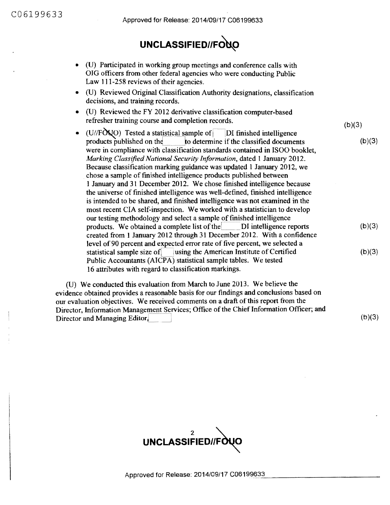- (U) Participated in working group meetings and conference calls with OIG officers from other federal agencies who were conducting Public Law 111-258 reviews of their agencies.
- (U) Reviewed Original Classification Authority designations, classification decisions, and training records.
- $(U)$  Reviewed the FY 2012 derivative classification computer-based refresher training course and completion records.
- (U//FOUO) Tested a statistical sample of  $\vert$ DI finished intelligence products published on the  $\vert$ to determine if the classified document to determine if the classified documents were in compliance with classification standards contained in ISOO booklet, *Marking Classified National Security Information, dated 1 January 2012.* Because classification marking guidance was updated 1 January 2012, we chose a sample of finished intelligence products published between I January and 31 December 2012. We chose finished intelligence because the universe of finished intelligence was well-defined, finished intelligence is intended to be shared, and finished intelligence was not examined in the most recent CIA self-inspection. We worked with a statistician to develop our testing methodology and select a sample of finished intelligence products. We obtained a complete list of the DI intelligence reports created from 1 January 2012 through 31 December 2012. With a confidence level of 90 percent and expected error rate of five percent, we selected a statistical sample size of **lack** using the American Institute of Certified Public Accountants (AICPA) statistical sample tables. We tested 16 attributes with regard to classification markings.  $(b)(3)$  $(b)(3)$  $(b)(3)$

(U) We conducted this evaluation from March to June 2013. We believe the evidence obtained provides a reasonable basis for our findings and conclusions based on our evaluation objectives. We received comments on a draft of this report from the Director, Information Management Services; Office of the Chief Information Officer; and Director and Managing Editor,

 $(b)(3)$ 

 $(b)(3)$ 

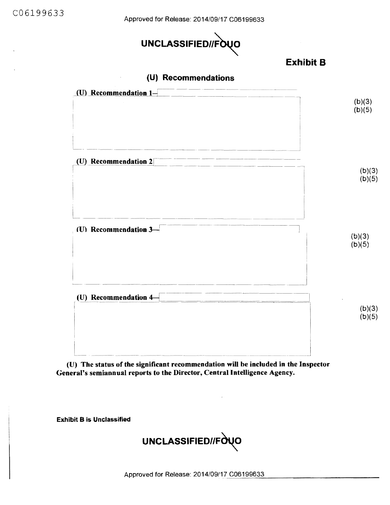Approved for Release: 2014/09/17 C06199633



### Exhibit B



| $(b)(3)$<br>$(b)(5)$ |
|----------------------|
| (b)(3)<br>(b)(5)     |
| (b)(3)<br>(b)(5)     |
| $(b)(3)$<br>$(b)(5)$ |
|                      |

(U) The status of the significant recommendation will be included in the Inspector General's semiannual reports to the Director, Central Intelligence Agency.

Exhibit B is Unclassified

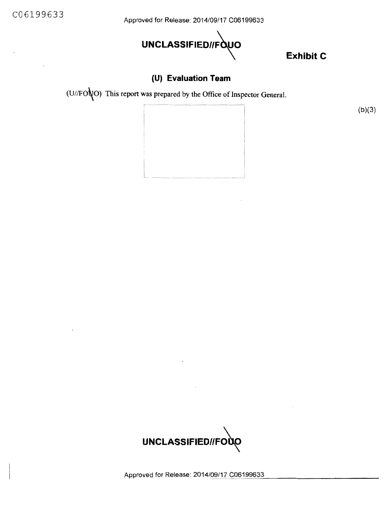C06199633

Approved for Release: 2014/09/17 C06199633



**Exhibit C** 

 $(b)(3)$ 

### **(U) Evaluation Team**

(U//FO $\bigvee$ O) This report was prepared by the Office of Inspector General.